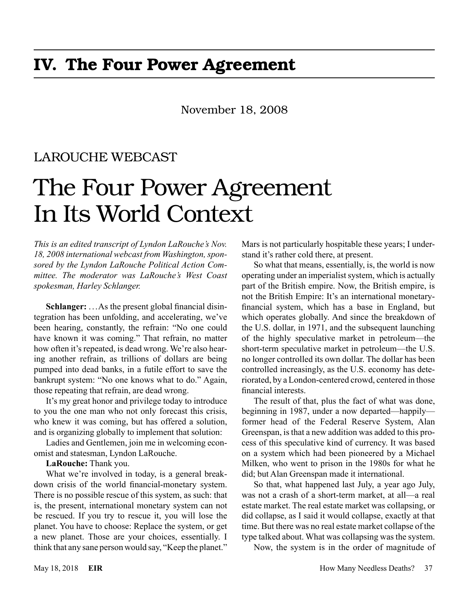# November 18, 2008

# LAROUCHE WEBCAST

# The Four Power Agreement In Its World Context

*This is an edited transcript of Lyndon LaRouche's Nov. 18, 2008 international webcast from Washington, sponsored by the Lyndon LaRouche Political Action Committee. The moderator was LaRouche's West Coast spokesman, Harley Schlanger.*

**Schlanger:** . ..As the present global financial disintegration has been unfolding, and accelerating, we've been hearing, constantly, the refrain: "No one could have known it was coming." That refrain, no matter how often it's repeated, is dead wrong. We're also hearing another refrain, as trillions of dollars are being pumped into dead banks, in a futile effort to save the bankrupt system: "No one knows what to do." Again, those repeating that refrain, are dead wrong.

It's my great honor and privilege today to introduce to you the one man who not only forecast this crisis, who knew it was coming, but has offered a solution, and is organizing globally to implement that solution:

Ladies and Gentlemen, join me in welcoming economist and statesman, Lyndon LaRouche.

**LaRouche:** Thank you.

What we're involved in today, is a general breakdown crisis of the world financial-monetary system. There is no possible rescue of this system, as such: that is, the present, international monetary system can not be rescued. If you try to rescue it, you will lose the planet. You have to choose: Replace the system, or get a new planet. Those are your choices, essentially. I think that any sane person would say, "Keep the planet."

Mars is not particularly hospitable these years; I understand it's rather cold there, at present.

So what that means, essentially, is, the world is now operating under an imperialist system, which is actually part of the British empire. Now, the British empire, is not the British Empire: It's an international monetaryfinancial system, which has a base in England, but which operates globally. And since the breakdown of the U.S. dollar, in 1971, and the subsequent launching of the highly speculative market in petroleum—the short-term speculative market in petroleum—the U.S. no longer controlled its own dollar. The dollar has been controlled increasingly, as the U.S. economy has deteriorated, by a London-centered crowd, centered in those financial interests.

The result of that, plus the fact of what was done, beginning in 1987, under a now departed—happily former head of the Federal Reserve System, Alan Greenspan, is that a new addition was added to this process of this speculative kind of currency. It was based on a system which had been pioneered by a Michael Milken, who went to prison in the 1980s for what he did; but Alan Greenspan made it international.

So that, what happened last July, a year ago July, was not a crash of a short-term market, at all—a real estate market. The real estate market was collapsing, or did collapse, as I said it would collapse, exactly at that time. But there was no real estate market collapse of the type talked about. What was collapsing was the system.

Now, the system is in the order of magnitude of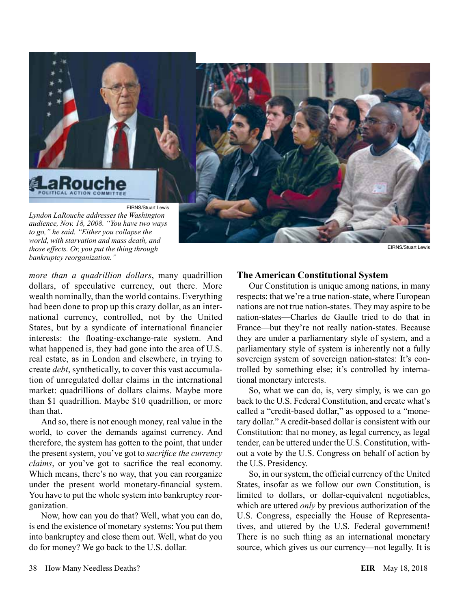

*those effects. Or, you put the thing through bankruptcy reorganization."*

*more than a quadrillion dollars*, many quadrillion dollars, of speculative currency, out there. More wealth nominally, than the world contains. Everything had been done to prop up this crazy dollar, as an international currency, controlled, not by the United States, but by a syndicate of international financier interests: the floating-exchange-rate system. And what happened is, they had gone into the area of U.S. real estate, as in London and elsewhere, in trying to create *debt*, synthetically, to cover this vast accumulation of unregulated dollar claims in the international market: quadrillions of dollars claims. Maybe more than \$1 quadrillion. Maybe \$10 quadrillion, or more than that.

And so, there is not enough money, real value in the world, to cover the demands against currency. And therefore, the system has gotten to the point, that under the present system, you've got to *sacrifice the currency claims*, or you've got to sacrifice the real economy. Which means, there's no way, that you can reorganize under the present world monetary-financial system. You have to put the whole system into bankruptcy reorganization.

Now, how can you do that? Well, what you can do, is end the existence of monetary systems: You put them into bankruptcy and close them out. Well, what do you do for money? We go back to the U.S. dollar.

#### **The American Constitutional System**

Our Constitution is unique among nations, in many respects: that we're a true nation-state, where European nations are not true nation-states. They may aspire to be nation-states—Charles de Gaulle tried to do that in France—but they're not really nation-states. Because they are under a parliamentary style of system, and a parliamentary style of system is inherently not a fully sovereign system of sovereign nation-states: It's controlled by something else; it's controlled by international monetary interests.

So, what we can do, is, very simply, is we can go back to the U.S. Federal Constitution, and create what's called a "credit-based dollar," as opposed to a "monetary dollar." A credit-based dollar is consistent with our Constitution: that no money, as legal currency, as legal tender, can be uttered under the U.S. Constitution, without a vote by the U.S. Congress on behalf of action by the U.S. Presidency.

So, in our system, the official currency of the United States, insofar as we follow our own Constitution, is limited to dollars, or dollar-equivalent negotiables, which are uttered *only* by previous authorization of the U.S. Congress, especially the House of Representatives, and uttered by the U.S. Federal government! There is no such thing as an international monetary source, which gives us our currency—not legally. It is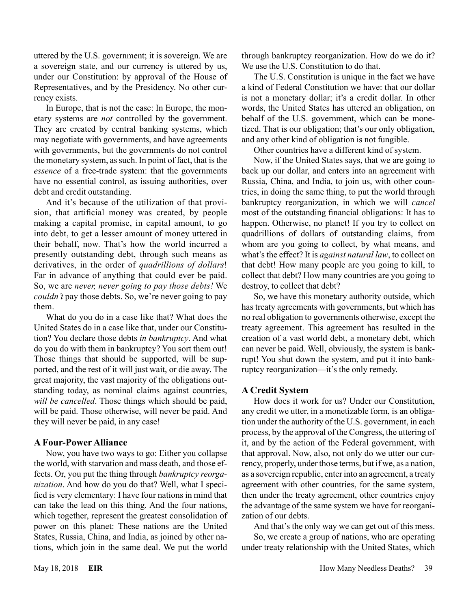uttered by the U.S. government; it is sovereign. We are a sovereign state, and our currency is uttered by us, under our Constitution: by approval of the House of Representatives, and by the Presidency. No other currency exists.

In Europe, that is not the case: In Europe, the monetary systems are *not* controlled by the government. They are created by central banking systems, which may negotiate with governments, and have agreements with governments, but the governments do not control the monetary system, as such. In point of fact, that is the *essence* of a free-trade system: that the governments have no essential control, as issuing authorities, over debt and credit outstanding.

And it's because of the utilization of that provision, that artificial money was created, by people making a capital promise, in capital amount, to go into debt, to get a lesser amount of money uttered in their behalf, now. That's how the world incurred a presently outstanding debt, through such means as derivatives, in the order of *quadrillions of dollars*! Far in advance of anything that could ever be paid. So, we are *never, never going to pay those debts!* We *couldn't* pay those debts. So, we're never going to pay them.

What do you do in a case like that? What does the United States do in a case like that, under our Constitution? You declare those debts *in bankruptcy*. And what do you do with them in bankruptcy? You sort them out! Those things that should be supported, will be supported, and the rest of it will just wait, or die away. The great majority, the vast majority of the obligations outstanding today, as nominal claims against countries, *will be cancelled*. Those things which should be paid, will be paid. Those otherwise, will never be paid. And they will never be paid, in any case!

#### **A Four-Power Alliance**

Now, you have two ways to go: Either you collapse the world, with starvation and mass death, and those effects. Or, you put the thing through *bankruptcy reorganization*. And how do you do that? Well, what I specified is very elementary: I have four nations in mind that can take the lead on this thing. And the four nations, which together, represent the greatest consolidation of power on this planet: These nations are the United States, Russia, China, and India, as joined by other nations, which join in the same deal. We put the world

through bankruptcy reorganization. How do we do it? We use the U.S. Constitution to do that.

The U.S. Constitution is unique in the fact we have a kind of Federal Constitution we have: that our dollar is not a monetary dollar; it's a credit dollar. In other words, the United States has uttered an obligation, on behalf of the U.S. government, which can be monetized. That is our obligation; that's our only obligation, and any other kind of obligation is not fungible.

Other countries have a different kind of system.

Now, if the United States says, that we are going to back up our dollar, and enters into an agreement with Russia, China, and India, to join us, with other countries, in doing the same thing, to put the world through bankruptcy reorganization, in which we will *cancel* most of the outstanding financial obligations: It has to happen. Otherwise, no planet! If you try to collect on quadrillions of dollars of outstanding claims, from whom are you going to collect, by what means, and what's the effect? It is *against natural law*, to collect on that debt! How many people are you going to kill, to collect that debt? How many countries are you going to destroy, to collect that debt?

So, we have this monetary authority outside, which has treaty agreements with governments, but which has no real obligation to governments otherwise, except the treaty agreement. This agreement has resulted in the creation of a vast world debt, a monetary debt, which can never be paid. Well, obviously, the system is bankrupt! You shut down the system, and put it into bankruptcy reorganization—it's the only remedy.

#### **A Credit System**

How does it work for us? Under our Constitution, any credit we utter, in a monetizable form, is an obligation under the authority of the U.S. government, in each process, by the approval of the Congress, the uttering of it, and by the action of the Federal government, with that approval. Now, also, not only do we utter our currency, properly, under those terms, but if we, as a nation, as a sovereign republic, enter into an agreement, a treaty agreement with other countries, for the same system, then under the treaty agreement, other countries enjoy the advantage of the same system we have for reorganization of our debts.

And that's the only way we can get out of this mess.

So, we create a group of nations, who are operating under treaty relationship with the United States, which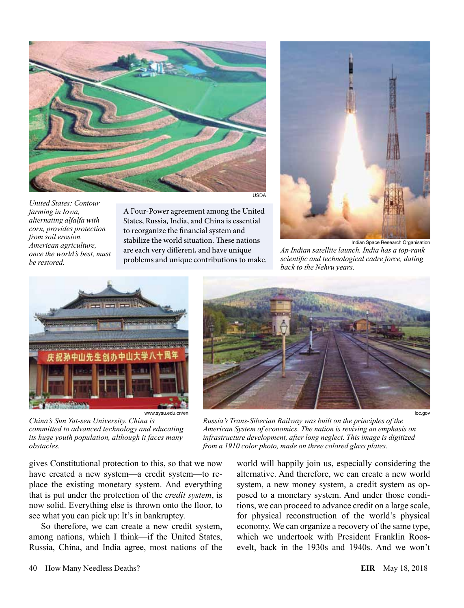

*United States: Contour farming in Iowa, alternating alfalfa with corn, provides protection from soil erosion. American agriculture, once the world's best, must be restored.*

A Four-Power agreement among the United States, Russia, India, and China is essential to reorganize the financial system and stabilize the world situation. These nations are each very different, and have unique problems and unique contributions to make.



Indian Space Research Organisation *An Indian satellite launch. India has a top-rank scientific and technological cadre force, dating back to the Nehru years.*



www.sysu.edu.cn/en

*China's Sun Yat-sen University. China is committed to advanced technology and educating its huge youth population, although it faces many obstacles.*

gives Constitutional protection to this, so that we now have created a new system—a credit system—to replace the existing monetary system. And everything that is put under the protection of the *credit system*, is now solid. Everything else is thrown onto the floor, to see what you can pick up: It's in bankruptcy.

So therefore, we can create a new credit system, among nations, which I think—if the United States, Russia, China, and India agree, most nations of the



*Russia's Trans-Siberian Railway was built on the principles of the American System of economics. The nation is reviving an emphasis on infrastructure development, after long neglect. This image is digitized from a 1910 color photo, made on three colored glass plates.*

world will happily join us, especially considering the alternative. And therefore, we can create a new world system, a new money system, a credit system as opposed to a monetary system. And under those conditions, we can proceed to advance credit on a large scale, for physical reconstruction of the world's physical economy. We can organize a recovery of the same type, which we undertook with President Franklin Roosevelt, back in the 1930s and 1940s. And we won't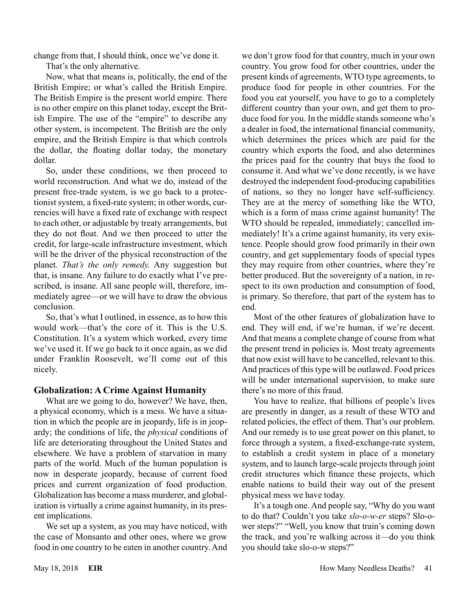change from that, I should think, once we've done it.

That's the only alternative.

Now, what that means is, politically, the end of the British Empire; or what's called the British Empire. The British Empire is the present world empire. There is no other empire on this planet today, except the British Empire. The use of the "empire" to describe any other system, is incompetent. The British are the only empire, and the British Empire is that which controls the dollar, the floating dollar today, the monetary dollar.

So, under these conditions, we then proceed to world reconstruction. And what we do, instead of the present free-trade system, is we go back to a protectionist system, a fixed-rate system; in other words, currencies will have a fixed rate of exchange with respect to each other, or adjustable by treaty arrangements, but they do not float. And we then proceed to utter the credit, for large-scale infrastructure investment, which will be the driver of the physical reconstruction of the planet. *That's the only remedy.* Any suggestion but that, is insane. Any failure to do exactly what I've prescribed, is insane. All sane people will, therefore, immediately agree—or we will have to draw the obvious conclusion.

So, that's what I outlined, in essence, as to how this would work—that's the core of it. This is the U.S. Constitution. It's a system which worked, every time we've used it. If we go back to it once again, as we did under Franklin Roosevelt, we'll come out of this nicely.

# **Globalization: A Crime Against Humanity**

What are we going to do, however? We have, then, a physical economy, which is a mess. We have a situation in which the people are in jeopardy, life is in jeopardy; the conditions of life, the *physical* conditions of life are deteriorating throughout the United States and elsewhere. We have a problem of starvation in many parts of the world. Much of the human population is now in desperate jeopardy, because of current food prices and current organization of food production. Globalization has become a mass murderer, and globalization is virtually a crime against humanity, in its present implications.

We set up a system, as you may have noticed, with the case of Monsanto and other ones, where we grow food in one country to be eaten in another country. And we don't grow food for that country, much in your own country. You grow food for other countries, under the present kinds of agreements, WTO type agreements, to produce food for people in other countries. For the food you eat yourself, you have to go to a completely different country than your own, and get them to produce food for you. In the middle stands someone who's a dealer in food, the international financial community, which determines the prices which are paid for the country which exports the food, and also determines the prices paid for the country that buys the food to consume it. And what we've done recently, is we have destroyed the independent food-producing capabilities of nations, so they no longer have self-sufficiency. They are at the mercy of something like the WTO, which is a form of mass crime against humanity! The WTO should be repealed, immediately; cancelled immediately! It's a crime against humanity, its very existence. People should grow food primarily in their own country, and get supplementary foods of special types they may require from other countries, where they're better produced. But the sovereignty of a nation, in respect to its own production and consumption of food, is primary. So therefore, that part of the system has to end.

Most of the other features of globalization have to end. They will end, if we're human, if we're decent. And that means a complete change of course from what the present trend in policies is. Most treaty agreements that now exist will have to be cancelled, relevant to this. And practices of this type will be outlawed. Food prices will be under international supervision, to make sure there's no more of this fraud.

You have to realize, that billions of people's lives are presently in danger, as a result of these WTO and related policies, the effect of them. That's our problem. And our remedy is to use great power on this planet, to force through a system, a fixed-exchange-rate system, to establish a credit system in place of a monetary system, and to launch large-scale projects through joint credit structures which finance these projects, which enable nations to build their way out of the present physical mess we have today.

It's a tough one. And people say, "Why do you want to do that? Couldn't you take *slo-o-w-er* steps? Slo-ower steps?" "Well, you know that train's coming down the track, and you're walking across it—do you think you should take slo-o-w steps?"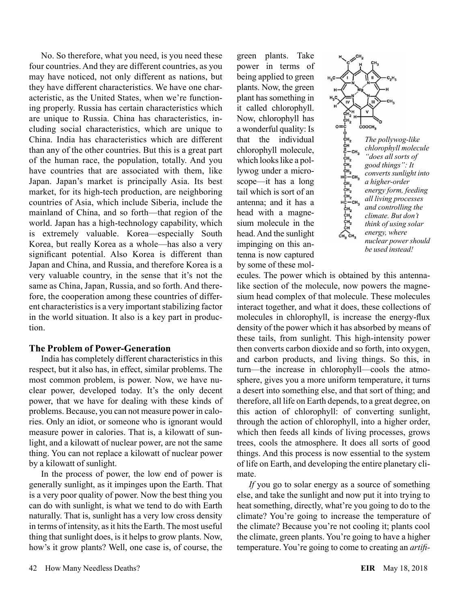No. So therefore, what you need, is you need these four countries. And they are different countries, as you may have noticed, not only different as nations, but they have different characteristics. We have one characteristic, as the United States, when we're functioning properly. Russia has certain characteristics which are unique to Russia. China has characteristics, including social characteristics, which are unique to China. India has characteristics which are different than any of the other countries. But this is a great part of the human race, the population, totally. And you have countries that are associated with them, like Japan. Japan's market is principally Asia. Its best market, for its high-tech production, are neighboring countries of Asia, which include Siberia, include the mainland of China, and so forth—that region of the world. Japan has a high-technology capability, which is extremely valuable. Korea—especially South Korea, but really Korea as a whole—has also a very significant potential. Also Korea is different than Japan and China, and Russia, and therefore Korea is a very valuable country, in the sense that it's not the same as China, Japan, Russia, and so forth. And therefore, the cooperation among these countries of different characteristics is a very important stabilizing factor in the world situation. It also is a key part in production.

#### **The Problem of Power-Generation**

India has completely different characteristics in this respect, but it also has, in effect, similar problems. The most common problem, is power. Now, we have nuclear power, developed today. It's the only decent power, that we have for dealing with these kinds of problems. Because, you can not measure power in calories. Only an idiot, or someone who is ignorant would measure power in calories. That is, a kilowatt of sunlight, and a kilowatt of nuclear power, are not the same thing. You can not replace a kilowatt of nuclear power by a kilowatt of sunlight.

In the process of power, the low end of power is generally sunlight, as it impinges upon the Earth. That is a very poor quality of power. Now the best thing you can do with sunlight, is what we tend to do with Earth naturally. That is, sunlight has a very low cross density in terms of intensity, as it hits the Earth. The most useful thing that sunlight does, is it helps to grow plants. Now, how's it grow plants? Well, one case is, of course, the

green plants. Take power in terms of being applied to green plants. Now, the green plant has something in it called chlorophyll. Now, chlorophyll has a wonderful quality: Is that the individual chlorophyll molecule, which looks like a pollywog under a microscope—it has a long tail which is sort of an antenna; and it has a head with a magnesium molecule in the head. And the sunlight impinging on this antenna is now captured by some of these mol-



ecules. The power which is obtained by this antennalike section of the molecule, now powers the magnesium head complex of that molecule. These molecules interact together, and what it does, these collections of molecules in chlorophyll, is increase the energy-flux density of the power which it has absorbed by means of these tails, from sunlight. This high-intensity power then converts carbon dioxide and so forth, into oxygen, and carbon products, and living things. So this, in turn—the increase in chlorophyll—cools the atmosphere, gives you a more uniform temperature, it turns a desert into something else, and that sort of thing; and therefore, all life on Earth depends, to a great degree, on this action of chlorophyll: of converting sunlight, through the action of chlorophyll, into a higher order, which then feeds all kinds of living processes, grows trees, cools the atmosphere. It does all sorts of good things. And this process is now essential to the system of life on Earth, and developing the entire planetary climate.

*If* you go to solar energy as a source of something else, and take the sunlight and now put it into trying to heat something, directly, what're you going to do to the climate? You're going to increase the temperature of the climate? Because you're not cooling it; plants cool the climate, green plants. You're going to have a higher temperature. You're going to come to creating an *artifi-*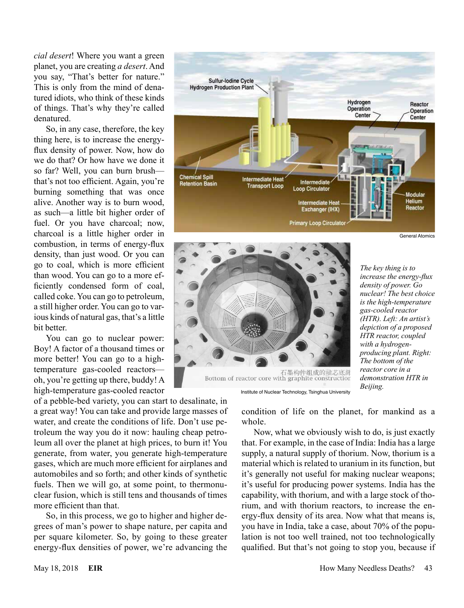*cial desert*! Where you want a green planet, you are creating *a desert*. And you say, "That's better for nature." This is only from the mind of denatured idiots, who think of these kinds of things. That's why they're called denatured.

So, in any case, therefore, the key thing here, is to increase the energyflux density of power. Now, how do we do that? Or how have we done it so far? Well, you can burn brush that's not too efficient. Again, you're burning something that was once alive. Another way is to burn wood, as such—a little bit higher order of fuel. Or you have charcoal; now, charcoal is a little higher order in combustion, in terms of energy-flux density, than just wood. Or you can go to coal, which is more efficient than wood. You can go to a more efficiently condensed form of coal, called coke. You can go to petroleum, a still higher order. You can go to various kinds of natural gas, that's a little bit better.

You can go to nuclear power: Boy! A factor of a thousand times or more better! You can go to a hightemperature gas-cooled reactors oh, you're getting up there, buddy! A high-temperature gas-cooled reactor

of a pebble-bed variety, you can start to desalinate, in a great way! You can take and provide large masses of water, and create the conditions of life. Don't use petroleum the way you do it now: hauling cheap petroleum all over the planet at high prices, to burn it! You generate, from water, you generate high-temperature gases, which are much more efficient for airplanes and automobiles and so forth; and other kinds of synthetic fuels. Then we will go, at some point, to thermonuclear fusion, which is still tens and thousands of times more efficient than that.

So, in this process, we go to higher and higher degrees of man's power to shape nature, per capita and per square kilometer. So, by going to these greater energy-flux densities of power, we're advancing the





*The key thing is to increase the energy-flux density of power. Go nuclear! The best choice is the high-temperature gas-cooled reactor (HTR). Left: An artist's depiction of a proposed HTR reactor, coupled with a hydrogenproducing plant. Right: The bottom of the* 

Institute of Nuclear Technology, Tsinghua University

condition of life on the planet, for mankind as a whole.

Now, what we obviously wish to do, is just exactly that. For example, in the case of India: India has a large supply, a natural supply of thorium. Now, thorium is a material which is related to uranium in its function, but it's generally not useful for making nuclear weapons; it's useful for producing power systems. India has the capability, with thorium, and with a large stock of thorium, and with thorium reactors, to increase the energy-flux density of its area. Now what that means is, you have in India, take a case, about 70% of the population is not too well trained, not too technologically qualified. But that's not going to stop you, because if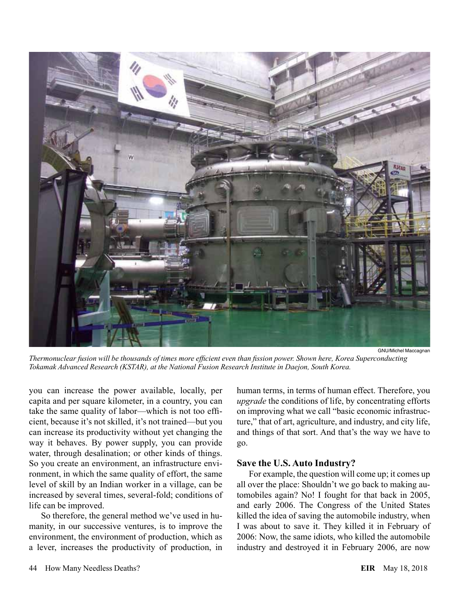

*Thermonuclear fusion will be thousands of times more efficient even than fission power. Shown here, Korea Superconducting Tokamak Advanced Research (KSTAR), at the National Fusion Research Institute in Daejon, South Korea.*

you can increase the power available, locally, per capita and per square kilometer, in a country, you can take the same quality of labor—which is not too efficient, because it's not skilled, it's not trained—but you can increase its productivity without yet changing the way it behaves. By power supply, you can provide water, through desalination; or other kinds of things. So you create an environment, an infrastructure environment, in which the same quality of effort, the same level of skill by an Indian worker in a village, can be increased by several times, several-fold; conditions of life can be improved.

So therefore, the general method we've used in humanity, in our successive ventures, is to improve the environment, the environment of production, which as a lever, increases the productivity of production, in

human terms, in terms of human effect. Therefore, you *upgrade* the conditions of life, by concentrating efforts on improving what we call "basic economic infrastructure," that of art, agriculture, and industry, and city life, and things of that sort. And that's the way we have to go.

#### **Save the U.S. Auto Industry?**

For example, the question will come up; it comes up all over the place: Shouldn't we go back to making automobiles again? No! I fought for that back in 2005, and early 2006. The Congress of the United States killed the idea of saving the automobile industry, when I was about to save it. They killed it in February of 2006: Now, the same idiots, who killed the automobile industry and destroyed it in February 2006, are now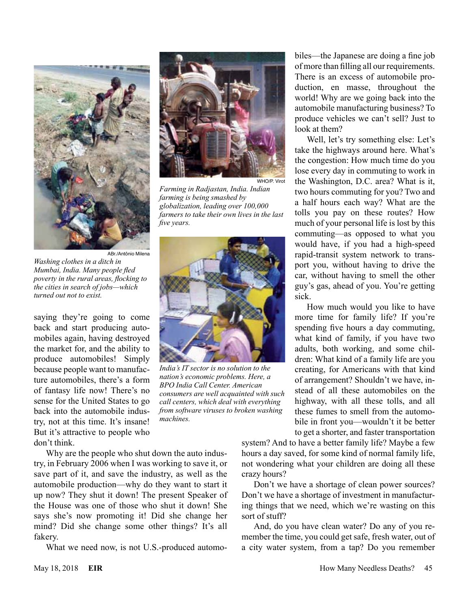



*Farming in Radjastan, India. Indian farming is being smashed by globalization, leading over 100,000 farmers to take their own lives in the last five years.*



*India's IT sector is no solution to the nation's economic problems. Here, a BPO India Call Center. American consumers are well acquainted with such call centers, which deal with everything from software viruses to broken washing* 

*machines.*

biles—the Japanese are doing a fine job of more than filling all our requirements. There is an excess of automobile production, en masse, throughout the world! Why are we going back into the automobile manufacturing business? To produce vehicles we can't sell? Just to look at them?

Well, let's try something else: Let's take the highways around here. What's the congestion: How much time do you lose every day in commuting to work in the Washington, D.C. area? What is it, two hours commuting for you? Two and a half hours each way? What are the tolls you pay on these routes? How much of your personal life is lost by this commuting—as opposed to what you would have, if you had a high-speed rapid-transit system network to transport you, without having to drive the car, without having to smell the other guy's gas, ahead of you. You're getting sick.

How much would you like to have more time for family life? If you're spending five hours a day commuting, what kind of family, if you have two adults, both working, and some children: What kind of a family life are you creating, for Americans with that kind of arrangement? Shouldn't we have, instead of all these automobiles on the highway, with all these tolls, and all these fumes to smell from the automobile in front you—wouldn't it be better to get a shorter, and faster transportation

system? And to have a better family life? Maybe a few hours a day saved, for some kind of normal family life, not wondering what your children are doing all these crazy hours?

Don't we have a shortage of clean power sources? Don't we have a shortage of investment in manufacturing things that we need, which we're wasting on this sort of stuff?

And, do you have clean water? Do any of you remember the time, you could get safe, fresh water, out of a city water system, from a tap? Do you remember

ABr./Antônio Milena *Washing clothes in a ditch in Mumbai, India. Many people fled poverty in the rural areas, flocking to the cities in search of jobs—which turned out not to exist.*

saying they're going to come back and start producing automobiles again, having destroyed the market for, and the ability to produce automobiles! Simply because people want to manufacture automobiles, there's a form of fantasy life now! There's no sense for the United States to go back into the automobile industry, not at this time. It's insane! But it's attractive to people who don't think.

Why are the people who shut down the auto industry, in February 2006 when I was working to save it, or save part of it, and save the industry, as well as the automobile production—why do they want to start it up now? They shut it down! The present Speaker of the House was one of those who shut it down! She says she's now promoting it! Did she change her mind? Did she change some other things? It's all fakery.

What we need now, is not U.S.-produced automo-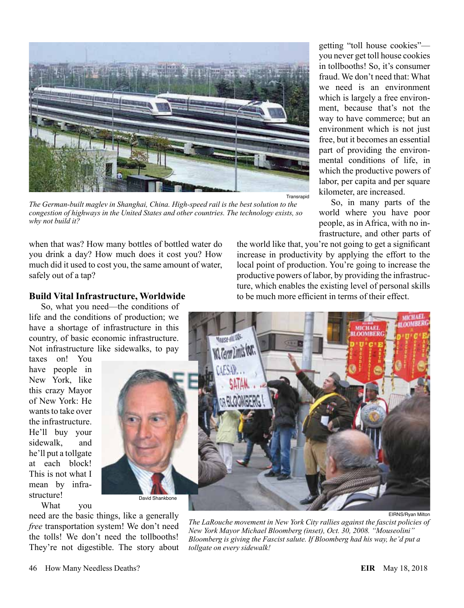

Transrapid

*The German-built maglev in Shanghai, China. High-speed rail is the best solution to the congestion of highways in the United States and other countries. The technology exists, so why not build it?*

when that was? How many bottles of bottled water do you drink a day? How much does it cost you? How much did it used to cost you, the same amount of water, safely out of a tap?

# **Build Vital Infrastructure, Worldwide**

So, what you need—the conditions of life and the conditions of production; we have a shortage of infrastructure in this country, of basic economic infrastructure. Not infrastructure like sidewalks, to pay

taxes on! You have people in New York, like this crazy Mayor of New York: He wants to take over the infrastructure. He'll buy your sidewalk, and he'll put a tollgate at each block! This is not what I mean by infrastructure! What you



need are the basic things, like a generally *free* transportation system! We don't need the tolls! We don't need the tollbooths! They're not digestible. The story about

*The LaRouche movement in New York City rallies against the fascist policies of New York Mayor Michael Bloomberg (inset), Oct. 30, 2008. "Mouseolini" Bloomberg is giving the Fascist salute. If Bloomberg had his way, he'd put a tollgate on every sidewalk!*

getting "toll house cookies" you never get toll house cookies in tollbooths! So, it's consumer fraud. We don't need that: What we need is an environment which is largely a free environment, because that's not the way to have commerce; but an environment which is not just free, but it becomes an essential part of providing the environmental conditions of life, in which the productive powers of labor, per capita and per square kilometer, are increased.

So, in many parts of the world where you have poor people, as in Africa, with no infrastructure, and other parts of

the world like that, you're not going to get a significant increase in productivity by applying the effort to the local point of production. You're going to increase the productive powers of labor, by providing the infrastructure, which enables the existing level of personal skills to be much more efficient in terms of their effect.

EIRNS/Ryan Milton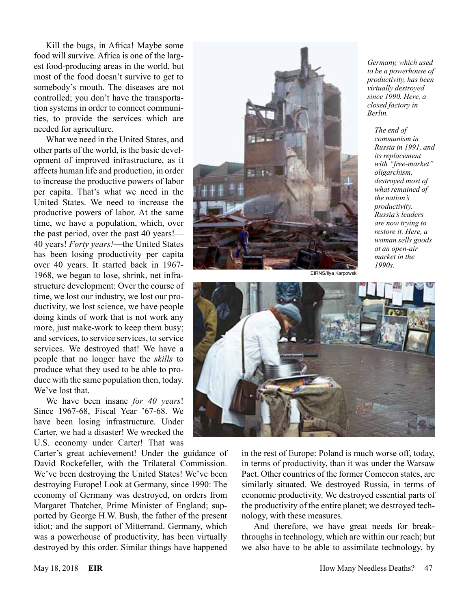Kill the bugs, in Africa! Maybe some food will survive. Africa is one of the largest food-producing areas in the world, but most of the food doesn't survive to get to somebody's mouth. The diseases are not controlled; you don't have the transportation systems in order to connect communities, to provide the services which are needed for agriculture.

What we need in the United States, and other parts of the world, is the basic development of improved infrastructure, as it affects human life and production, in order to increase the productive powers of labor per capita. That's what we need in the United States. We need to increase the productive powers of labor. At the same time, we have a population, which, over the past period, over the past 40 years!— 40 years! *Forty years!*—the United States has been losing productivity per capita over 40 years. It started back in 1967- 1968, we began to lose, shrink, net infrastructure development: Over the course of time, we lost our industry, we lost our productivity, we lost science, we have people doing kinds of work that is not work any more, just make-work to keep them busy; and services, to service services, to service services. We destroyed that! We have a people that no longer have the *skills* to produce what they used to be able to produce with the same population then, today. We've lost that.

We have been insane *for 40 years*! Since 1967-68, Fiscal Year '67-68. We have been losing infrastructure. Under Carter, we had a disaster! We wrecked the U.S. economy under Carter! That was

Carter's great achievement! Under the guidance of David Rockefeller, with the Trilateral Commission. We've been destroying the United States! We've been destroying Europe! Look at Germany, since 1990: The economy of Germany was destroyed, on orders from Margaret Thatcher, Prime Minister of England; supported by George H.W. Bush, the father of the present idiot; and the support of Mitterrand. Germany, which was a powerhouse of productivity, has been virtually destroyed by this order. Similar things have happened



*Germany, which used to be a powerhouse of productivity, has been virtually destroyed since 1990. Here, a closed factory in Berlin.*

*The end of communism in Russia in 1991, and its replacement with "free-market" oligarchism, destroyed most of what remained of the nation's productivity. Russia's leaders are now trying to restore it. Here, a woman sells goods at an open-air market in the 1990s.*





in the rest of Europe: Poland is much worse off, today, in terms of productivity, than it was under the Warsaw Pact. Other countries of the former Comecon states, are similarly situated. We destroyed Russia, in terms of economic productivity. We destroyed essential parts of the productivity of the entire planet; we destroyed technology, with these measures.

And therefore, we have great needs for breakthroughs in technology, which are within our reach; but we also have to be able to assimilate technology, by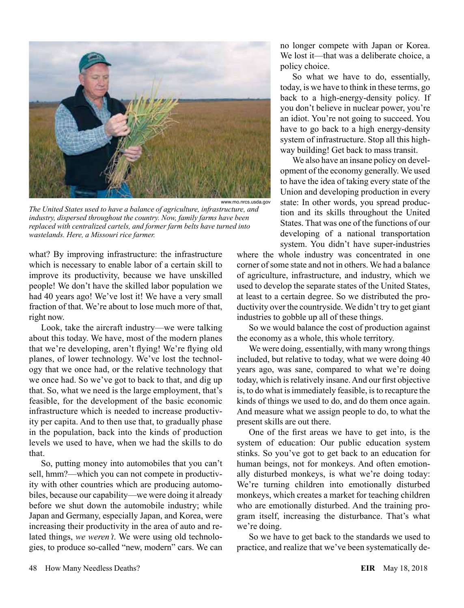

*The United States used to have a balance of agriculture, infrastructure, and industry, dispersed throughout the country. Now, family farms have been replaced with centralized cartels, and former farm belts have turned into wastelands. Here, a Missouri rice farmer.*

what? By improving infrastructure: the infrastructure which is necessary to enable labor of a certain skill to improve its productivity, because we have unskilled people! We don't have the skilled labor population we had 40 years ago! We've lost it! We have a very small fraction of that. We're about to lose much more of that, right now.

Look, take the aircraft industry—we were talking about this today. We have, most of the modern planes that we're developing, aren't flying! We're flying old planes, of lower technology. We've lost the technology that we once had, or the relative technology that we once had. So we've got to back to that, and dig up that. So, what we need is the large employment, that's feasible, for the development of the basic economic infrastructure which is needed to increase productivity per capita. And to then use that, to gradually phase in the population, back into the kinds of production levels we used to have, when we had the skills to do that.

So, putting money into automobiles that you can't sell, hmm?—which you can not compete in productivity with other countries which are producing automobiles, because our capability—we were doing it already before we shut down the automobile industry; while Japan and Germany, especially Japan, and Korea, were increasing their productivity in the area of auto and related things, *we weren't*. We were using old technologies, to produce so-called "new, modern" cars. We can no longer compete with Japan or Korea. We lost it—that was a deliberate choice, a policy choice.

So what we have to do, essentially, today, is we have to think in these terms, go back to a high-energy-density policy. If you don't believe in nuclear power, you're an idiot. You're not going to succeed. You have to go back to a high energy-density system of infrastructure. Stop all this highway building! Get back to mass transit.

We also have an insane policy on development of the economy generally. We used to have the idea of taking every state of the Union and developing production in every state: In other words, you spread production and its skills throughout the United States. That was one of the functions of our developing of a national transportation system. You didn't have super-industries

where the whole industry was concentrated in one corner of some state and not in others. We had a balance of agriculture, infrastructure, and industry, which we used to develop the separate states of the United States, at least to a certain degree. So we distributed the productivity over the countryside. We didn't try to get giant industries to gobble up all of these things.

So we would balance the cost of production against the economy as a whole, this whole territory.

We were doing, essentially, with many wrong things included, but relative to today, what we were doing 40 years ago, was sane, compared to what we're doing today, which is relatively insane. And our first objective is, to do what is immediately feasible, is to recapture the kinds of things we used to do, and do them once again. And measure what we assign people to do, to what the present skills are out there.

One of the first areas we have to get into, is the system of education: Our public education system stinks. So you've got to get back to an education for human beings, not for monkeys. And often emotionally disturbed monkeys, is what we're doing today: We're turning children into emotionally disturbed monkeys, which creates a market for teaching children who are emotionally disturbed. And the training program itself, increasing the disturbance. That's what we're doing.

So we have to get back to the standards we used to practice, and realize that we've been systematically de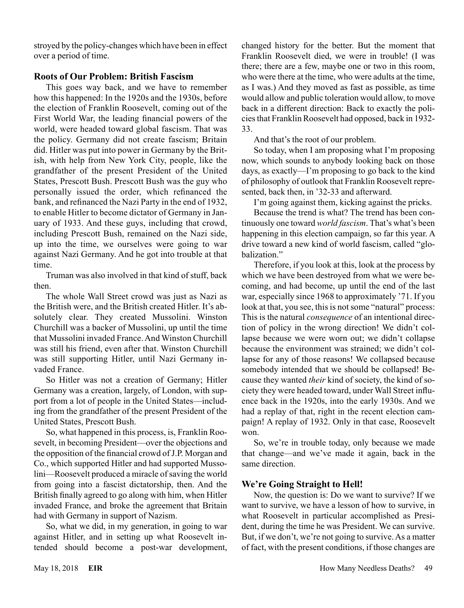stroyed by the policy-changes which have been in effect over a period of time.

### **Roots of Our Problem: British Fascism**

This goes way back, and we have to remember how this happened: In the 1920s and the 1930s, before the election of Franklin Roosevelt, coming out of the First World War, the leading financial powers of the world, were headed toward global fascism. That was the policy. Germany did not create fascism; Britain did. Hitler was put into power in Germany by the British, with help from New York City, people, like the grandfather of the present President of the United States, Prescott Bush. Prescott Bush was the guy who personally issued the order, which refinanced the bank, and refinanced the Nazi Party in the end of 1932, to enable Hitler to become dictator of Germany in January of 1933. And these guys, including that crowd, including Prescott Bush, remained on the Nazi side, up into the time, we ourselves were going to war against Nazi Germany. And he got into trouble at that time.

Truman was also involved in that kind of stuff, back then.

The whole Wall Street crowd was just as Nazi as the British were, and the British created Hitler. It's absolutely clear. They created Mussolini. Winston Churchill was a backer of Mussolini, up until the time that Mussolini invaded France. And Winston Churchill was still his friend, even after that. Winston Churchill was still supporting Hitler, until Nazi Germany invaded France.

So Hitler was not a creation of Germany; Hitler Germany was a creation, largely, of London, with support from a lot of people in the United States—including from the grandfather of the present President of the United States, Prescott Bush.

So, what happened in this process, is, Franklin Roosevelt, in becoming President—over the objections and the opposition of the financial crowd of J.P. Morgan and Co., which supported Hitler and had supported Mussolini—Roosevelt produced a miracle of saving the world from going into a fascist dictatorship, then. And the British finally agreed to go along with him, when Hitler invaded France, and broke the agreement that Britain had with Germany in support of Nazism.

So, what we did, in my generation, in going to war against Hitler, and in setting up what Roosevelt intended should become a post-war development, changed history for the better. But the moment that Franklin Roosevelt died, we were in trouble! (I was there; there are a few, maybe one or two in this room, who were there at the time, who were adults at the time, as I was.) And they moved as fast as possible, as time would allow and public toleration would allow, to move back in a different direction: Back to exactly the policies that Franklin Roosevelt had opposed, back in 1932- 33.

And that's the root of our problem.

So today, when I am proposing what I'm proposing now, which sounds to anybody looking back on those days, as exactly—I'm proposing to go back to the kind of philosophy of outlook that Franklin Roosevelt represented, back then, in '32-33 and afterward.

I'm going against them, kicking against the pricks.

Because the trend is what? The trend has been continuously one toward *world fascism*. That's what's been happening in this election campaign, so far this year. A drive toward a new kind of world fascism, called "globalization."

Therefore, if you look at this, look at the process by which we have been destroyed from what we were becoming, and had become, up until the end of the last war, especially since 1968 to approximately '71. If you look at that, you see, this is not some "natural" process: This is the natural *consequence* of an intentional direction of policy in the wrong direction! We didn't collapse because we were worn out; we didn't collapse because the environment was strained; we didn't collapse for any of those reasons! We collapsed because somebody intended that we should be collapsed! Because they wanted *their* kind of society, the kind of society they were headed toward, under Wall Street influence back in the 1920s, into the early 1930s. And we had a replay of that, right in the recent election campaign! A replay of 1932. Only in that case, Roosevelt won.

So, we're in trouble today, only because we made that change—and we've made it again, back in the same direction.

# **We're Going Straight to Hell!**

Now, the question is: Do we want to survive? If we want to survive, we have a lesson of how to survive, in what Roosevelt in particular accomplished as President, during the time he was President. We can survive. But, if we don't, we're not going to survive. As a matter of fact, with the present conditions, if those changes are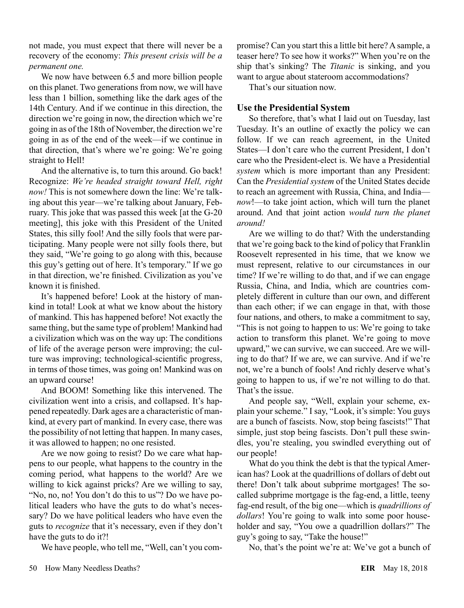not made, you must expect that there will never be a recovery of the economy: *This present crisis will be a permanent one.*

We now have between 6.5 and more billion people on this planet. Two generations from now, we will have less than 1 billion, something like the dark ages of the 14th Century. And if we continue in this direction, the direction we're going in now, the direction which we're going in as of the 18th of November, the direction we're going in as of the end of the week—if we continue in that direction, that's where we're going: We're going straight to Hell!

And the alternative is, to turn this around. Go back! Recognize: *We're headed straight toward Hell, right now!* This is not somewhere down the line: We're talking about this year—we're talking about January, February. This joke that was passed this week [at the G-20 meeting], this joke with this President of the United States, this silly fool! And the silly fools that were participating. Many people were not silly fools there, but they said, "We're going to go along with this, because this guy's getting out of here. It's temporary." If we go in that direction, we're finished. Civilization as you've known it is finished.

It's happened before! Look at the history of mankind in total! Look at what we know about the history of mankind. This has happened before! Not exactly the same thing, but the same type of problem! Mankind had a civilization which was on the way up: The conditions of life of the average person were improving; the culture was improving; technological-scientific progress, in terms of those times, was going on! Mankind was on an upward course!

And BOOM! Something like this intervened. The civilization went into a crisis, and collapsed. It's happened repeatedly. Dark ages are a characteristic of mankind, at every part of mankind. In every case, there was the possibility of not letting that happen. In many cases, it was allowed to happen; no one resisted.

Are we now going to resist? Do we care what happens to our people, what happens to the country in the coming period, what happens to the world? Are we willing to kick against pricks? Are we willing to say, "No, no, no! You don't do this to us"? Do we have political leaders who have the guts to do what's necessary? Do we have political leaders who have even the guts to *recognize* that it's necessary, even if they don't have the guts to do it?!

We have people, who tell me, "Well, can't you com-

promise? Can you start this a little bit here? A sample, a teaser here? To see how it works?" When you're on the ship that's sinking? The *Titanic* is sinking, and you want to argue about stateroom accommodations?

That's our situation now.

#### **Use the Presidential System**

So therefore, that's what I laid out on Tuesday, last Tuesday. It's an outline of exactly the policy we can follow. If we can reach agreement, in the United States—I don't care who the current President, I don't care who the President-elect is. We have a Presidential *system* which is more important than any President: Can the *Presidential system* of the United States decide to reach an agreement with Russia, China, and India *now*!—to take joint action, which will turn the planet around. And that joint action *would turn the planet around!*

Are we willing to do that? With the understanding that we're going back to the kind of policy that Franklin Roosevelt represented in his time, that we know we must represent, relative to our circumstances in our time? If we're willing to do that, and if we can engage Russia, China, and India, which are countries completely different in culture than our own, and different than each other; if we can engage in that, with those four nations, and others, to make a commitment to say, "This is not going to happen to us: We're going to take action to transform this planet. We're going to move upward," we can survive, we can succeed. Are we willing to do that? If we are, we can survive. And if we're not, we're a bunch of fools! And richly deserve what's going to happen to us, if we're not willing to do that. That's the issue.

And people say, "Well, explain your scheme, explain your scheme." I say, "Look, it's simple: You guys are a bunch of fascists. Now, stop being fascists!" That simple, just stop being fascists. Don't pull these swindles, you're stealing, you swindled everything out of our people!

What do you think the debt is that the typical American has? Look at the quadrillions of dollars of debt out there! Don't talk about subprime mortgages! The socalled subprime mortgage is the fag-end, a little, teeny fag-end result, of the big one—which is *quadrillions of dollars*! You're going to walk into some poor householder and say, "You owe a quadrillion dollars?" The guy's going to say, "Take the house!"

No, that's the point we're at: We've got a bunch of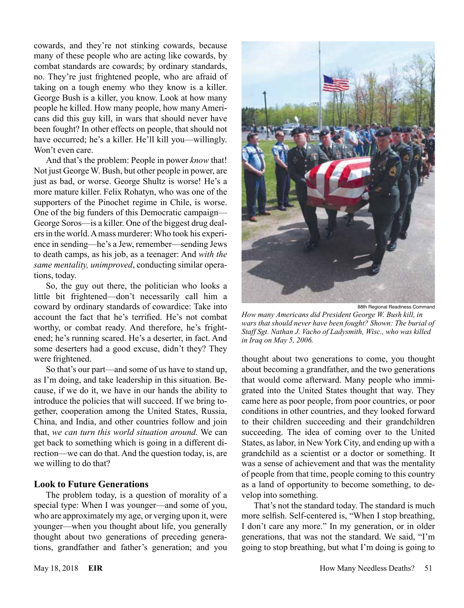cowards, and they're not stinking cowards, because many of these people who are acting like cowards, by combat standards are cowards; by ordinary standards, no. They're just frightened people, who are afraid of taking on a tough enemy who they know is a killer. George Bush is a killer, you know. Look at how many people he killed. How many people, how many Americans did this guy kill, in wars that should never have been fought? In other effects on people, that should not have occurred; he's a killer. He'll kill you—willingly. Won't even care.

And that's the problem: People in power *know* that! Not just George W. Bush, but other people in power, are just as bad, or worse. George Shultz is worse! He's a more mature killer. Felix Rohatyn, who was one of the supporters of the Pinochet regime in Chile, is worse. One of the big funders of this Democratic campaign— George Soros—is a killer. One of the biggest drug dealers in the world. A mass murderer: Who took his experience in sending—he's a Jew, remember—sending Jews to death camps, as his job, as a teenager: And *with the same mentality, unimproved*, conducting similar operations, today.

So, the guy out there, the politician who looks a little bit frightened—don't necessarily call him a coward by ordinary standards of cowardice: Take into account the fact that he's terrified. He's not combat worthy, or combat ready. And therefore, he's frightened; he's running scared. He's a deserter, in fact. And some deserters had a good excuse, didn't they? They were frightened.

So that's our part—and some of us have to stand up, as I'm doing, and take leadership in this situation. Because, if we do it, we have in our hands the ability to introduce the policies that will succeed. If we bring together, cooperation among the United States, Russia, China, and India, and other countries follow and join that, *we can turn this world situation around.* We can get back to something which is going in a different direction—we can do that. And the question today, is, are we willing to do that?

#### **Look to Future Generations**

The problem today, is a question of morality of a special type: When I was younger—and some of you, who are approximately my age, or verging upon it, were younger—when you thought about life, you generally thought about two generations of preceding generations, grandfather and father's generation; and you



88th Regional Readiness Command

*How many Americans did President George W. Bush kill, in wars that should never have been fought? Shown: The burial of Staff Sgt. Nathan J. Vacho of Ladysmith, Wisc., who was killed in Iraq on May 5, 2006.*

thought about two generations to come, you thought about becoming a grandfather, and the two generations that would come afterward. Many people who immigrated into the United States thought that way. They came here as poor people, from poor countries, or poor conditions in other countries, and they looked forward to their children succeeding and their grandchildren succeeding. The idea of coming over to the United States, as labor, in New York City, and ending up with a grandchild as a scientist or a doctor or something. It was a sense of achievement and that was the mentality of people from that time, people coming to this country as a land of opportunity to become something, to develop into something.

That's not the standard today. The standard is much more selfish. Self-centered is, "When I stop breathing, I don't care any more." In my generation, or in older generations, that was not the standard. We said, "I'm going to stop breathing, but what I'm doing is going to